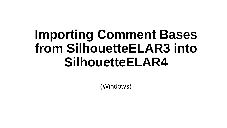## **Importing Comment Bases from SilhouetteELAR3 into SilhouetteELAR4**

(Windows)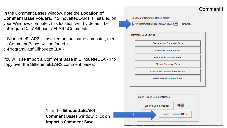In the Comment Bases window, note the **Location of Comment Base Folders.** If SilhouetteFLAR4 is installed on your Windows computer, this location will, by default, be c:\ProgramData\SilhouetteELAR4\Comments.

If SilhouetteELAR3 is installed on that same computer, then its Comment Bases will be found in c:\ProgramData\SilhouetteELAR

You will use Import a Comment Base in SilhouetteELAR4 to copy over the SilhouetteELAR3 comment bases.

> 1. In the **SilhouetteELAR4 Comment Bases** window, click on **Import a Comment Base**

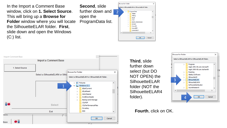In the Import a Comment Base window, click on **1. Select Source**. This will bring up a **Browse for Folder** window where you will locate the SilhouetteELAR folder. **First**, slide down and open the Windows  $(C:)$  list.

**Second**, slide further down and open the ProgramData list.

|                          | <b>Browse for Folder</b>                           |                          |
|--------------------------|----------------------------------------------------|--------------------------|
|                          | Select a SilhouetteELAR4 or SilhouetteELAR folder, |                          |
| 2                        | ProgramData                                        | $\overline{\phantom{a}}$ |
|                          | Adobe                                              |                          |
|                          | Affinity                                           |                          |
|                          | Apple                                              |                          |
|                          | Avid<br>↘                                          |                          |
|                          | boost_interprocess<br>>                            |                          |
|                          | Borland<br>$\mathcal{P}$                           |                          |
|                          | CanonBJ<br>$\mathcal{P}$                           |                          |
|                          | CanonEPP                                           |                          |
|                          | CanonIJEGV                                         | v                        |
| $\overline{\phantom{a}}$ |                                                    | $\rightarrow$            |
|                          |                                                    |                          |
|                          | Cancel<br>OK                                       |                          |
|                          |                                                    |                          |



**Third**, slide further down select (but DO NOT OPEN) the **SilhouetteELAR** folder (NOT the SilhouetteELAR4 folder).



## **Fourth**, click on OK.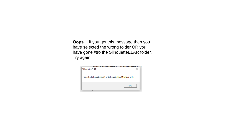**Oops….**if you get this message then you have selected the wrong folder OR you have gone *into* the SilhouetteELAR folder. Try again.

|                | OBIECT 9 OIIIInnetteLLHIJ4 ni OIIIInnetteLLH            |  |
|----------------|---------------------------------------------------------|--|
| SilhouetteELAR |                                                         |  |
|                | Select a SilhouetteELAR or SilhouetteELAR4 folder only. |  |
|                | OK                                                      |  |
|                |                                                         |  |